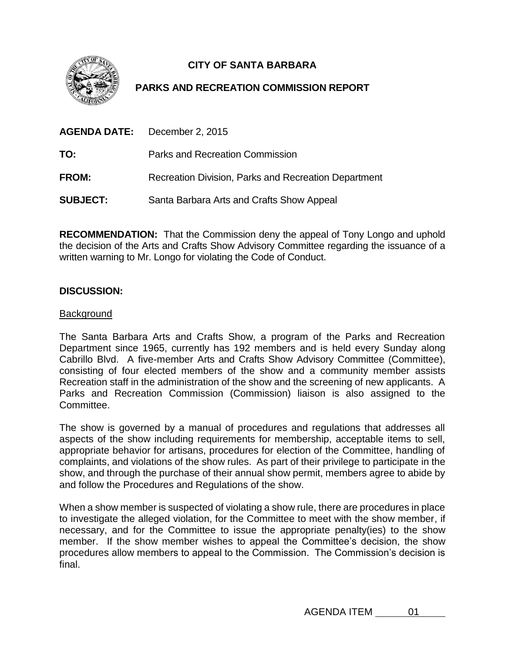

# **CITY OF SANTA BARBARA**

# **PARKS AND RECREATION COMMISSION REPORT**

|                 | <b>AGENDA DATE:</b> December 2, 2015                 |
|-----------------|------------------------------------------------------|
| TO:             | Parks and Recreation Commission                      |
| <b>FROM:</b>    | Recreation Division, Parks and Recreation Department |
| <b>SUBJECT:</b> | Santa Barbara Arts and Crafts Show Appeal            |

**RECOMMENDATION:** That the Commission deny the appeal of Tony Longo and uphold the decision of the Arts and Crafts Show Advisory Committee regarding the issuance of a written warning to Mr. Longo for violating the Code of Conduct.

## **DISCUSSION:**

#### Background

The Santa Barbara Arts and Crafts Show, a program of the Parks and Recreation Department since 1965, currently has 192 members and is held every Sunday along Cabrillo Blvd. A five-member Arts and Crafts Show Advisory Committee (Committee), consisting of four elected members of the show and a community member assists Recreation staff in the administration of the show and the screening of new applicants. A Parks and Recreation Commission (Commission) liaison is also assigned to the Committee.

The show is governed by a manual of procedures and regulations that addresses all aspects of the show including requirements for membership, acceptable items to sell, appropriate behavior for artisans, procedures for election of the Committee, handling of complaints, and violations of the show rules. As part of their privilege to participate in the show, and through the purchase of their annual show permit, members agree to abide by and follow the Procedures and Regulations of the show.

When a show member is suspected of violating a show rule, there are procedures in place to investigate the alleged violation, for the Committee to meet with the show member, if necessary, and for the Committee to issue the appropriate penalty(ies) to the show member. If the show member wishes to appeal the Committee's decision, the show procedures allow members to appeal to the Commission. The Commission's decision is final.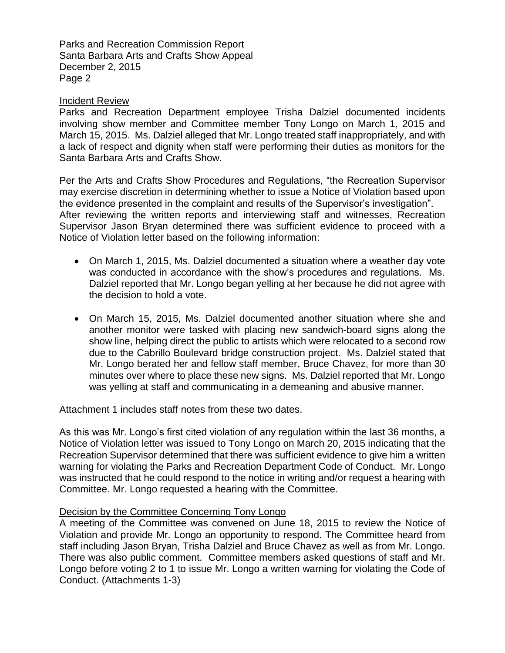Parks and Recreation Commission Report Santa Barbara Arts and Crafts Show Appeal December 2, 2015 Page 2

#### Incident Review

Parks and Recreation Department employee Trisha Dalziel documented incidents involving show member and Committee member Tony Longo on March 1, 2015 and March 15, 2015. Ms. Dalziel alleged that Mr. Longo treated staff inappropriately, and with a lack of respect and dignity when staff were performing their duties as monitors for the Santa Barbara Arts and Crafts Show.

Per the Arts and Crafts Show Procedures and Regulations, "the Recreation Supervisor may exercise discretion in determining whether to issue a Notice of Violation based upon the evidence presented in the complaint and results of the Supervisor's investigation". After reviewing the written reports and interviewing staff and witnesses, Recreation Supervisor Jason Bryan determined there was sufficient evidence to proceed with a Notice of Violation letter based on the following information:

- On March 1, 2015, Ms. Dalziel documented a situation where a weather day vote was conducted in accordance with the show's procedures and regulations. Ms. Dalziel reported that Mr. Longo began yelling at her because he did not agree with the decision to hold a vote.
- On March 15, 2015, Ms. Dalziel documented another situation where she and another monitor were tasked with placing new sandwich-board signs along the show line, helping direct the public to artists which were relocated to a second row due to the Cabrillo Boulevard bridge construction project. Ms. Dalziel stated that Mr. Longo berated her and fellow staff member, Bruce Chavez, for more than 30 minutes over where to place these new signs. Ms. Dalziel reported that Mr. Longo was yelling at staff and communicating in a demeaning and abusive manner.

Attachment 1 includes staff notes from these two dates.

As this was Mr. Longo's first cited violation of any regulation within the last 36 months, a Notice of Violation letter was issued to Tony Longo on March 20, 2015 indicating that the Recreation Supervisor determined that there was sufficient evidence to give him a written warning for violating the Parks and Recreation Department Code of Conduct. Mr. Longo was instructed that he could respond to the notice in writing and/or request a hearing with Committee. Mr. Longo requested a hearing with the Committee.

## Decision by the Committee Concerning Tony Longo

A meeting of the Committee was convened on June 18, 2015 to review the Notice of Violation and provide Mr. Longo an opportunity to respond. The Committee heard from staff including Jason Bryan, Trisha Dalziel and Bruce Chavez as well as from Mr. Longo. There was also public comment. Committee members asked questions of staff and Mr. Longo before voting 2 to 1 to issue Mr. Longo a written warning for violating the Code of Conduct. (Attachments 1-3)